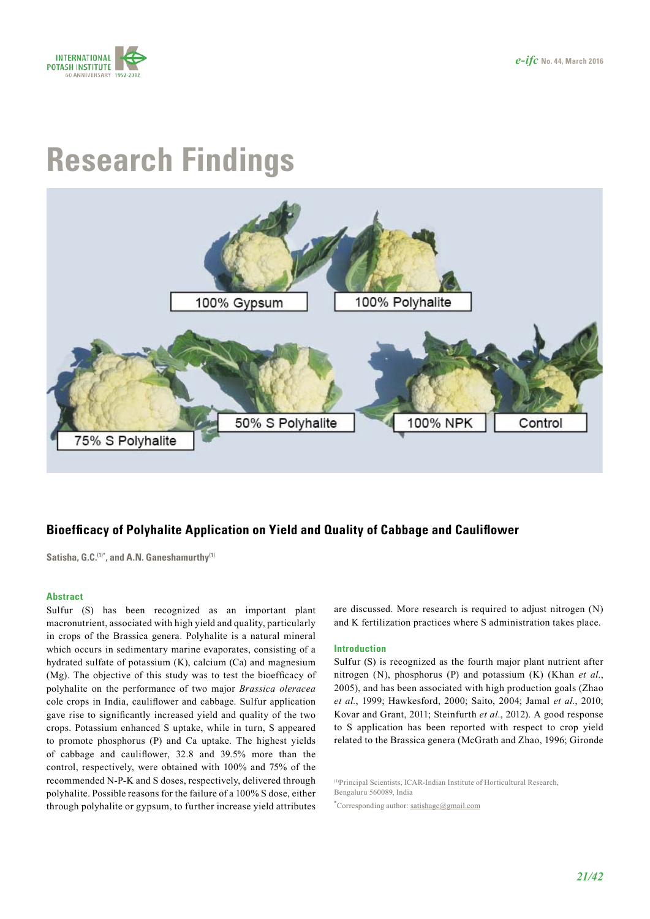

# **Research Findings**



## **Bioefficacy of Polyhalite Application on Yield and Quality of Cabbage and Cauliflower**

**Satisha, G.C.(1)\*, and A.N. Ganeshamurthy(1)**

#### **Abstract**

Sulfur (S) has been recognized as an important plant macronutrient, associated with high yield and quality, particularly in crops of the Brassica genera. Polyhalite is a natural mineral which occurs in sedimentary marine evaporates, consisting of a hydrated sulfate of potassium (K), calcium (Ca) and magnesium (Mg). The objective of this study was to test the bioefficacy of polyhalite on the performance of two major *Brassica oleracea* cole crops in India, cauliflower and cabbage. Sulfur application gave rise to significantly increased yield and quality of the two crops. Potassium enhanced S uptake, while in turn, S appeared to promote phosphorus (P) and Ca uptake. The highest yields of cabbage and cauliflower, 32.8 and 39.5% more than the control, respectively, were obtained with 100% and 75% of the recommended N-P-K and S doses, respectively, delivered through polyhalite. Possible reasons for the failure of a 100% S dose, either through polyhalite or gypsum, to further increase yield attributes

are discussed. More research is required to adjust nitrogen (N) and K fertilization practices where S administration takes place.

#### **Introduction**

Sulfur (S) is recognized as the fourth major plant nutrient after nitrogen (N), phosphorus (P) and potassium (K) (Khan *et al.*, 2005), and has been associated with high production goals (Zhao *et al.*, 1999; Hawkesford, 2000; Saito, 2004; Jamal *et al.*, 2010; Kovar and Grant, 2011; Steinfurth *et al.*, 2012). A good response to S application has been reported with respect to crop yield related to the Brassica genera (McGrath and Zhao, 1996; Gironde

(1)Principal Scientists, ICAR-Indian Institute of Horticultural Research, Bengaluru 560089, India

**\*** Corresponding author: [satishagc@gmail.com](mailto:satishagc%40gmail.com?subject=)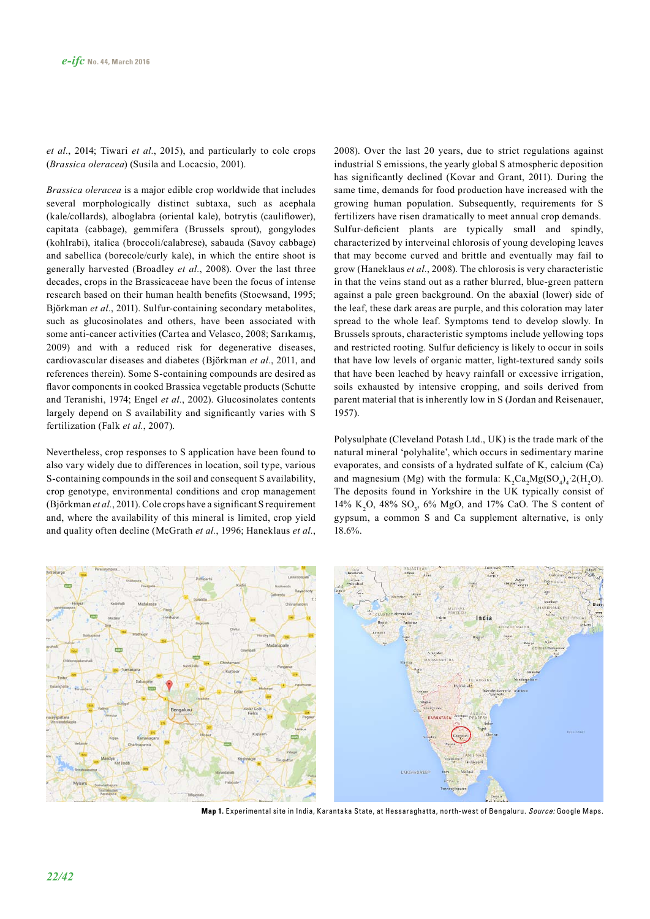*et al.*, 2014; Tiwari *et al.*, 2015), and particularly to cole crops (*Brassica oleracea*) (Susila and Locacsio, 2001).

*Brassica oleracea* is a major edible crop worldwide that includes several morphologically distinct subtaxa, such as acephala (kale/collards), alboglabra (oriental kale), botrytis (cauliflower), capitata (cabbage), gemmifera (Brussels sprout), gongylodes (kohlrabi), italica (broccoli/calabrese), sabauda (Savoy cabbage) and sabellica (borecole/curly kale), in which the entire shoot is generally harvested (Broadley *et al.*, 2008). Over the last three decades, crops in the Brassicaceae have been the focus of intense research based on their human health benefits (Stoewsand, 1995; Björkman *et al.*, 2011). Sulfur-containing secondary metabolites, such as glucosinolates and others, have been associated with some anti-cancer activities (Cartea and Velasco, 2008; Sarıkamış, 2009) and with a reduced risk for degenerative diseases, cardiovascular diseases and diabetes (Björkman *et al.*, 2011, and references therein). Some S-containing compounds are desired as flavor components in cooked Brassica vegetable products (Schutte and Teranishi, 1974; Engel *et al.*, 2002). Glucosinolates contents largely depend on S availability and significantly varies with S fertilization (Falk *et al.*, 2007).

Nevertheless, crop responses to S application have been found to also vary widely due to differences in location, soil type, various S-containing compounds in the soil and consequent S availability, crop genotype, environmental conditions and crop management (Björkman *et al.*, 2011). Cole crops have a significant S requirement and, where the availability of this mineral is limited, crop yield and quality often decline (McGrath *et al.*, 1996; Haneklaus *et al.*, 2008). Over the last 20 years, due to strict regulations against industrial S emissions, the yearly global S atmospheric deposition has significantly declined (Kovar and Grant, 2011). During the same time, demands for food production have increased with the growing human population. Subsequently, requirements for S fertilizers have risen dramatically to meet annual crop demands. Sulfur-deficient plants are typically small and spindly, characterized by interveinal chlorosis of young developing leaves that may become curved and brittle and eventually may fail to grow (Haneklaus *et al.*, 2008). The chlorosis is very characteristic in that the veins stand out as a rather blurred, blue-green pattern against a pale green background. On the abaxial (lower) side of the leaf, these dark areas are purple, and this coloration may later spread to the whole leaf. Symptoms tend to develop slowly. In Brussels sprouts, characteristic symptoms include yellowing tops and restricted rooting. Sulfur deficiency is likely to occur in soils that have low levels of organic matter, light-textured sandy soils that have been leached by heavy rainfall or excessive irrigation, soils exhausted by intensive cropping, and soils derived from parent material that is inherently low in S (Jordan and Reisenauer, 1957).

Polysulphate (Cleveland Potash Ltd., UK) is the trade mark of the natural mineral 'polyhalite', which occurs in sedimentary marine evaporates, and consists of a hydrated sulfate of K, calcium (Ca) and magnesium (Mg) with the formula:  $K_2$ Ca<sub>2</sub>Mg(SO<sub>4</sub>)<sub>4</sub> 2(H<sub>2</sub>O). The deposits found in Yorkshire in the UK typically consist of 14% K<sub>2</sub>O, 48% SO<sub>3</sub>, 6% MgO, and 17% CaO. The S content of gypsum, a common S and Ca supplement alternative, is only 18.6%.



**Map 1.** Experimental site in India, Karantaka State, at Hessaraghatta, north-west of Bengaluru. Source: Google Maps.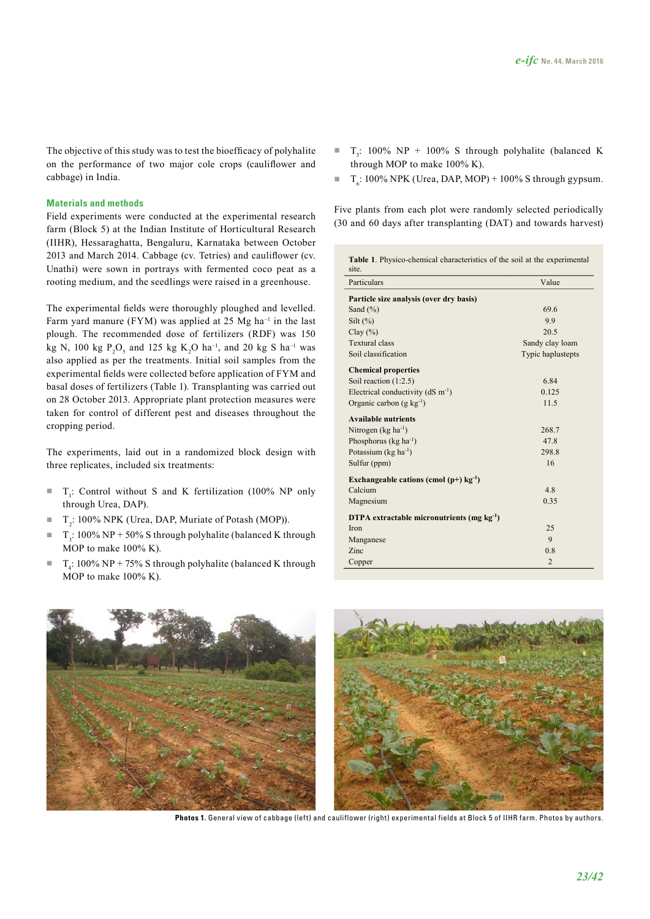The objective of this study was to test the bioefficacy of polyhalite on the performance of two major cole crops (cauliflower and cabbage) in India.

#### **Materials and methods**

Field experiments were conducted at the experimental research farm (Block 5) at the Indian Institute of Horticultural Research (IIHR), Hessaraghatta, Bengaluru, Karnataka between October 2013 and March 2014. Cabbage (cv. Tetries) and cauliflower (cv. Unathi) were sown in portrays with fermented coco peat as a rooting medium, and the seedlings were raised in a greenhouse.

The experimental fields were thoroughly ploughed and levelled. Farm yard manure (FYM) was applied at 25 Mg ha<sup>-1</sup> in the last plough. The recommended dose of fertilizers (RDF) was 150 kg N, 100 kg  $P_2O_5$  and 125 kg K<sub>2</sub>O ha<sup>-1</sup>, and 20 kg S ha<sup>-1</sup> was also applied as per the treatments. Initial soil samples from the experimental fields were collected before application of FYM and basal doses of fertilizers (Table 1). Transplanting was carried out on 28 October 2013. Appropriate plant protection measures were taken for control of different pest and diseases throughout the cropping period.

The experiments, laid out in a randomized block design with three replicates, included six treatments:

- $\blacksquare$  T<sub>1</sub>: Control without S and K fertilization (100% NP only through Urea, DAP).
- $\blacksquare$  T<sub>2</sub>: 100% NPK (Urea, DAP, Muriate of Potash (MOP)).
- $\blacksquare$  T<sub>3</sub>: 100% NP + 50% S through polyhalite (balanced K through MOP to make 100% K).
- $\blacksquare$  T<sub>4</sub>: 100% NP + 75% S through polyhalite (balanced K through MOP to make 100% K).
- $\blacksquare$  T<sub>5</sub>: 100% NP + 100% S through polyhalite (balanced K through MOP to make 100% K).
- $T_c$ : 100% NPK (Urea, DAP, MOP) + 100% S through gypsum.

Five plants from each plot were randomly selected periodically (30 and 60 days after transplanting (DAT) and towards harvest)

| Table 1. Physico-chemical characteristics of the soil at the experimental<br>site. |                   |  |  |  |
|------------------------------------------------------------------------------------|-------------------|--|--|--|
| Particulars                                                                        | Value             |  |  |  |
| Particle size analysis (over dry basis)                                            |                   |  |  |  |
| Sand $(\% )$                                                                       | 69.6              |  |  |  |
| Silt $(\%)$                                                                        | 9.9               |  |  |  |
| Clay $(\%)$                                                                        | 20.5              |  |  |  |
| <b>Textural class</b>                                                              | Sandy clay loam   |  |  |  |
| Soil classification                                                                | Typic haplustepts |  |  |  |
| <b>Chemical properties</b>                                                         |                   |  |  |  |
| Soil reaction $(1:2.5)$                                                            | 6.84              |  |  |  |
| Electrical conductivity ( $dS$ m <sup>-1</sup> )                                   | 0.125             |  |  |  |
| Organic carbon $(g \ kg^{-1})$                                                     | 11.5              |  |  |  |
| <b>Available nutrients</b>                                                         |                   |  |  |  |
| Nitrogen ( $kg \text{ ha}^{-1}$ )                                                  | 268.7             |  |  |  |
| Phosphorus ( $kg \text{ ha}^{-1}$ )                                                | 47.8              |  |  |  |
| Potassium ( $kg \text{ ha}^{-1}$ )                                                 | 298.8             |  |  |  |
| Sulfur (ppm)                                                                       | 16                |  |  |  |
| Exchangeable cations (cmol $(p+)$ kg <sup>-1</sup> )                               |                   |  |  |  |
| Calcium                                                                            | 4.8               |  |  |  |
| Magnesium                                                                          | 0.35              |  |  |  |
| DTPA extractable micronutrients (mg $kg^{-1}$ )                                    |                   |  |  |  |
| Iron                                                                               | 25                |  |  |  |
| Manganese                                                                          | 9                 |  |  |  |
| Zinc                                                                               | 0.8               |  |  |  |
| Copper                                                                             | $\overline{2}$    |  |  |  |



Photos 1. General view of cabbage (left) and cauliflower (right) experimental fields at Block 5 of IIHR farm. Photos by authors.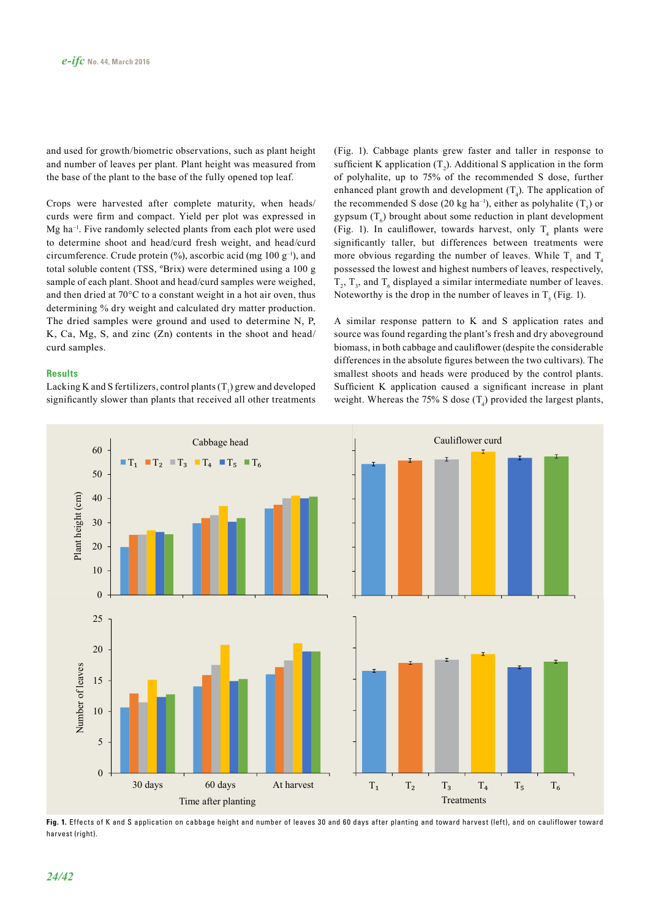and used for growth/biometric observations, such as plant height and number of leaves per plant. Plant height was measured from the base of the plant to the base of the fully opened top leaf.

Crops were harvested after complete maturity, when heads/ curds were firm and compact. Yield per plot was expressed in Mg ha–1. Five randomly selected plants from each plot were used to determine shoot and head/curd fresh weight, and head/curd circumference. Crude protein  $(\%)$ , ascorbic acid (mg 100 g<sup>-1</sup>), and total soluble content (TSS, ºBrix) were determined using a 100 g sample of each plant. Shoot and head/curd samples were weighed, and then dried at 70°C to a constant weight in a hot air oven, thus determining % dry weight and calculated dry matter production. The dried samples were ground and used to determine N, P, K, Ca, Mg, S, and zinc (Zn) contents in the shoot and head/ curd samples.

#### **Results**

Lacking K and S fertilizers, control plants  $(T_1)$  grew and developed significantly slower than plants that received all other treatments

(Fig. 1). Cabbage plants grew faster and taller in response to sufficient K application  $(T_2)$ . Additional S application in the form of polyhalite, up to 75% of the recommended S dose, further enhanced plant growth and development  $(T_4)$ . The application of the recommended S dose (20 kg ha<sup>-1</sup>), either as polyhalite  $(T<sub>s</sub>)$  or gypsum  $(T_6)$  brought about some reduction in plant development (Fig. 1). In cauliflower, towards harvest, only  $T_4$  plants were significantly taller, but differences between treatments were more obvious regarding the number of leaves. While  $T_1$  and  $T_4$ possessed the lowest and highest numbers of leaves, respectively,  $T_2$ ,  $T_3$ , and  $T_6$  displayed a similar intermediate number of leaves. Noteworthy is the drop in the number of leaves in  $T<sub>5</sub>$  (Fig. 1).

A similar response pattern to K and S application rates and source was found regarding the plant's fresh and dry aboveground biomass, in both cabbage and cauliflower (despite the considerable differences in the absolute figures between the two cultivars). The smallest shoots and heads were produced by the control plants. Sufficient K application caused a significant increase in plant weight. Whereas the 75% S dose  $(T_4)$  provided the largest plants,



**Fig. 1.** Effects of K and S application on cabbage height and number of leaves 30 and 60 days after planting and toward harvest (left), and on cauliflower toward harvest (right).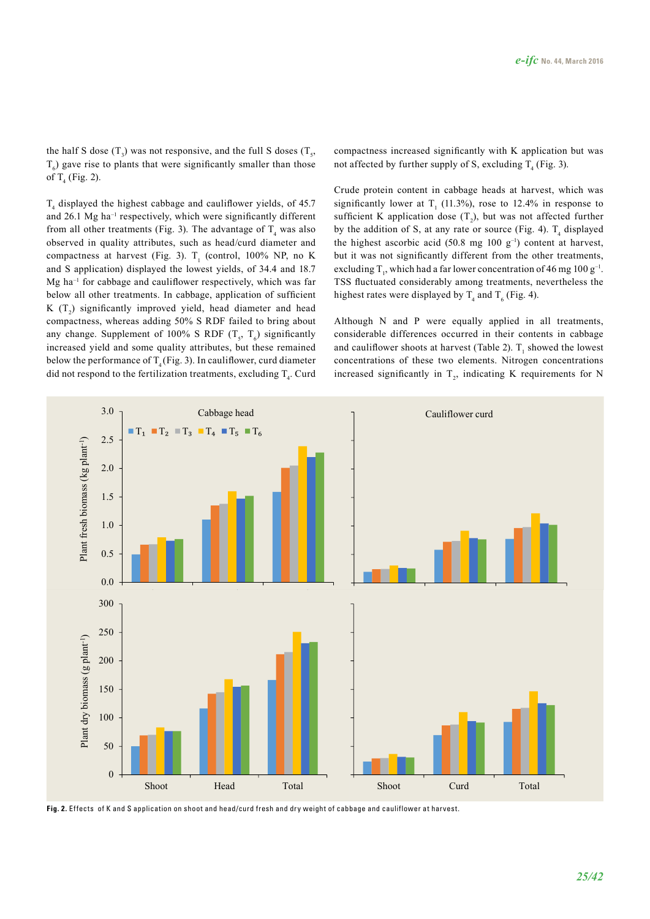the half S dose  $(T_3)$  was not responsive, and the full S doses  $(T_5)$ ,  $T<sub>6</sub>$ ) gave rise to plants that were significantly smaller than those of  $T_4$  (Fig. 2).

 $T<sub>4</sub>$  displayed the highest cabbage and cauliflower yields, of 45.7 and  $26.1$  Mg ha<sup>-1</sup> respectively, which were significantly different from all other treatments (Fig. 3). The advantage of  $T_4$  was also observed in quality attributes, such as head/curd diameter and compactness at harvest (Fig. 3).  $T_1$  (control, 100% NP, no K and S application) displayed the lowest yields, of 34.4 and 18.7  $Mg$  ha<sup>-1</sup> for cabbage and cauliflower respectively, which was far below all other treatments. In cabbage, application of sufficient K  $(T_2)$  significantly improved yield, head diameter and head compactness, whereas adding 50% S RDF failed to bring about any change. Supplement of 100% S RDF  $(T_s, T_6)$  significantly increased yield and some quality attributes, but these remained below the performance of  $T_4$  (Fig. 3). In cauliflower, curd diameter did not respond to the fertilization treatments, excluding  $T<sub>4</sub>$ . Curd compactness increased significantly with K application but was not affected by further supply of S, excluding  $T_4$  (Fig. 3).

Crude protein content in cabbage heads at harvest, which was significantly lower at  $T_1$  (11.3%), rose to 12.4% in response to sufficient K application dose  $(T_2)$ , but was not affected further by the addition of S, at any rate or source (Fig. 4).  $T_4$  displayed the highest ascorbic acid (50.8 mg 100  $g^{-1}$ ) content at harvest, but it was not significantly different from the other treatments, excluding  $T_1$ , which had a far lower concentration of 46 mg 100 g<sup>-1</sup>. TSS fluctuated considerably among treatments, nevertheless the highest rates were displayed by  $T_4$  and  $T_6$  (Fig. 4).

Although N and P were equally applied in all treatments, considerable differences occurred in their contents in cabbage and cauliflower shoots at harvest (Table 2).  $T_1$  showed the lowest concentrations of these two elements. Nitrogen concentrations increased significantly in  $T_2$ , indicating K requirements for N



**Fig. 2.** Effects of K and S application on shoot and head/curd fresh and dry weight of cabbage and cauliflower at harvest.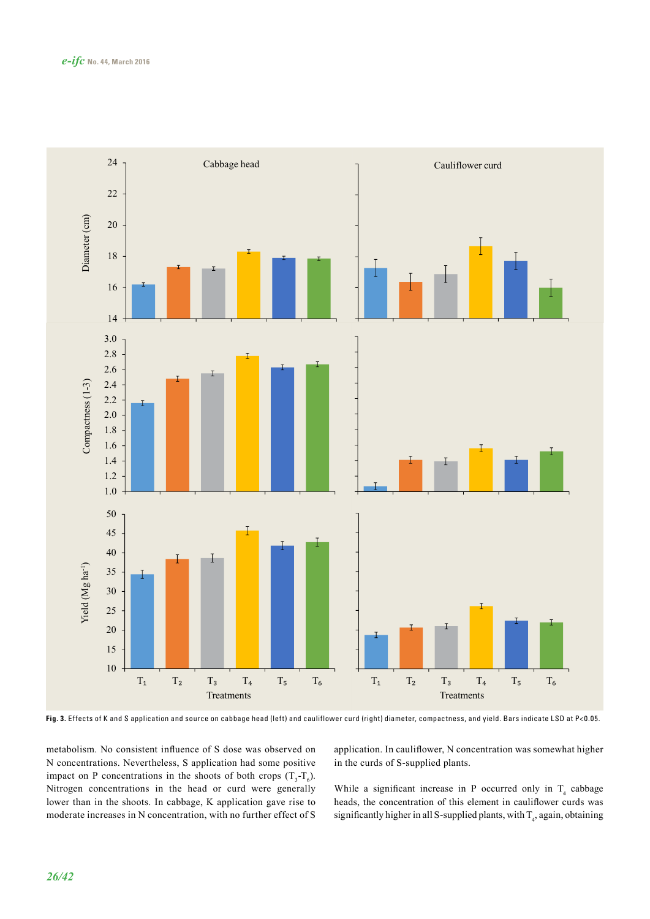

**Fig. 3.** Effects of K and S application and source on cabbage head (left) and cauliflower curd (right) diameter, compactness, and yield. Bars indicate LSD at P<0.05.

metabolism. No consistent influence of S dose was observed on N concentrations. Nevertheless, S application had some positive impact on P concentrations in the shoots of both crops  $(T_3 - T_6)$ . Nitrogen concentrations in the head or curd were generally lower than in the shoots. In cabbage, K application gave rise to moderate increases in N concentration, with no further effect of S

application. In cauliflower, N concentration was somewhat higher in the curds of S-supplied plants.

While a significant increase in P occurred only in  $T<sub>4</sub>$  cabbage heads, the concentration of this element in cauliflower curds was significantly higher in all S-supplied plants, with  $T_4$ , again, obtaining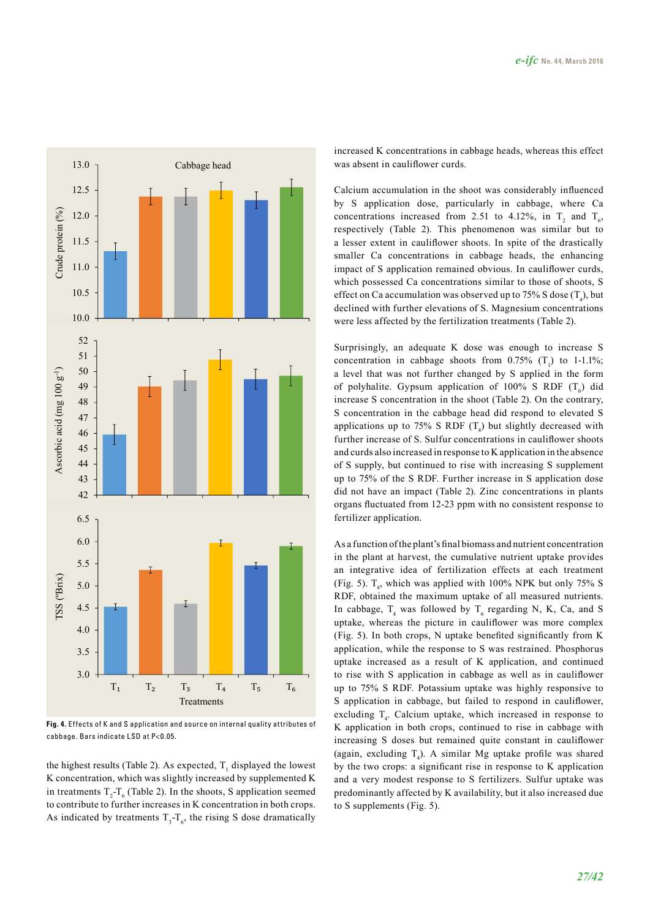

**Fig. 4.** Effects of K and S application and source on internal quality attributes of cabbage. Bars indicate LSD at P<0.05.

the highest results (Table 2). As expected,  $T_1$  displayed the lowest K concentration, which was slightly increased by supplemented K in treatments  $T_2$ - $T_6$  (Table 2). In the shoots, S application seemed to contribute to further increases in K concentration in both crops. As indicated by treatments  $T_3 - T_6$ , the rising S dose dramatically increased K concentrations in cabbage heads, whereas this effect was absent in cauliflower curds.

Calcium accumulation in the shoot was considerably influenced by S application dose, particularly in cabbage, where Ca concentrations increased from 2.51 to 4.12%, in  $T_2$  and  $T_6$ , respectively (Table 2). This phenomenon was similar but to a lesser extent in cauliflower shoots. In spite of the drastically smaller Ca concentrations in cabbage heads, the enhancing impact of S application remained obvious. In cauliflower curds, which possessed Ca concentrations similar to those of shoots, S effect on Ca accumulation was observed up to 75% S dose  $(T_4)$ , but declined with further elevations of S. Magnesium concentrations were less affected by the fertilization treatments (Table 2).

Surprisingly, an adequate K dose was enough to increase S concentration in cabbage shoots from 0.75%  $(T_1)$  to 1-1.1%; a level that was not further changed by S applied in the form of polyhalite. Gypsum application of 100% S RDF  $(T_6)$  did increase S concentration in the shoot (Table 2). On the contrary, S concentration in the cabbage head did respond to elevated S applications up to 75% S RDF  $(T_4)$  but slightly decreased with further increase of S. Sulfur concentrations in cauliflower shoots and curds also increased in response to K application in the absence of S supply, but continued to rise with increasing S supplement up to 75% of the S RDF. Further increase in S application dose did not have an impact (Table 2). Zinc concentrations in plants organs fluctuated from 12-23 ppm with no consistent response to fertilizer application.

As a function of the plant's final biomass and nutrient concentration in the plant at harvest, the cumulative nutrient uptake provides an integrative idea of fertilization effects at each treatment (Fig. 5).  $T_4$ , which was applied with 100% NPK but only 75% S RDF, obtained the maximum uptake of all measured nutrients. In cabbage,  $T_4$  was followed by  $T_6$  regarding N, K, Ca, and S uptake, whereas the picture in cauliflower was more complex (Fig. 5). In both crops, N uptake benefited significantly from K application, while the response to S was restrained. Phosphorus uptake increased as a result of K application, and continued to rise with S application in cabbage as well as in cauliflower up to 75% S RDF. Potassium uptake was highly responsive to S application in cabbage, but failed to respond in cauliflower, excluding  $T_4$ . Calcium uptake, which increased in response to K application in both crops, continued to rise in cabbage with increasing S doses but remained quite constant in cauliflower (again, excluding  $T_4$ ). A similar Mg uptake profile was shared by the two crops: a significant rise in response to K application and a very modest response to S fertilizers. Sulfur uptake was predominantly affected by K availability, but it also increased due to S supplements (Fig. 5).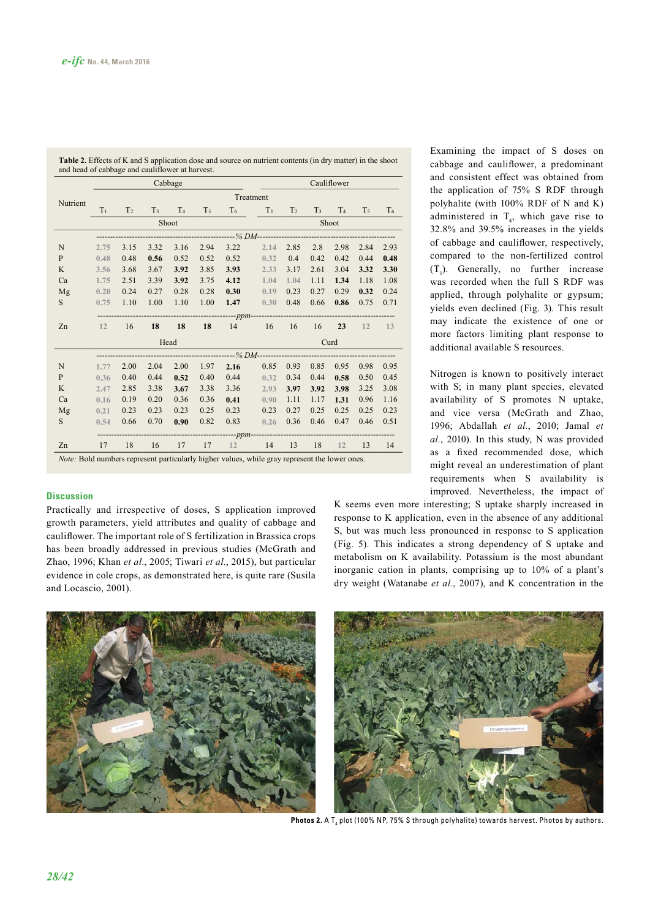|              | Cabbage   |                |      |             |                |       |       | Cauliflower    |       |       |       |                |  |
|--------------|-----------|----------------|------|-------------|----------------|-------|-------|----------------|-------|-------|-------|----------------|--|
|              | Treatment |                |      |             |                |       |       |                |       |       |       |                |  |
| Nutrient     | $T_1$     | T <sub>2</sub> |      | $T_3$ $T_4$ | T <sub>5</sub> | $T_6$ | $T_1$ | T <sub>2</sub> | $T_3$ | $T_4$ | $T_5$ | T <sub>6</sub> |  |
|              | Shoot     |                |      |             |                |       |       | Shoot          |       |       |       |                |  |
|              |           |                |      |             |                |       |       |                |       |       |       |                |  |
| N            | 2.75      | 3.15           | 3.32 | 3.16        | 2.94           | 3.22  | 2.14  | 2.85           | 2.8   | 2.98  | 2.84  | 2.93           |  |
| $\mathbf{P}$ | 0.48      | 0.48           | 0.56 | 0.52        | 0.52           | 0.52  | 0.32  | 0.4            | 0.42  | 0.42  | 0.44  | 0.48           |  |
| K            | 3.56      | 3.68           | 3.67 | 3.92        | 3.85           | 3.93  | 2.33  | 3.17           | 2.61  | 3.04  | 3.32  | 3.30           |  |
| Ca           | 1.75      | 2.51           | 3.39 | 3.92        | 3.75           | 4.12  | 1.04  | 1.04           | 1.11  | 1.34  | 1.18  | 1.08           |  |
| Mg           | 0.20      | 0.24           | 0.27 | 0.28        | 0.28           | 0.30  | 0.19  | 0.23           | 0.27  | 0.29  | 0.32  | 0.24           |  |
| S            | 0.75      | 1.10           | 1.00 | 1.10        | 1.00           | 1.47  | 0.30  | 0.48           | 0.66  | 0.86  | 0.75  | 0.71           |  |
|              |           |                |      |             |                |       |       |                |       |       |       |                |  |
| Zn           | 12        | 16             | 18   | 18          | 18             | 14    | 16    | 16             | 16    | 23    | 12    | 13             |  |
|              | Head      |                |      |             |                |       |       | Curd           |       |       |       |                |  |
|              |           |                |      |             |                |       |       |                |       |       |       |                |  |
| N            | 1.77      | 2.00           | 2.04 | 2.00        | 1.97           | 2.16  | 0.85  | 0.93           | 0.85  | 0.95  | 0.98  | 0.95           |  |
| $\mathbf{P}$ | 0.36      | 0.40           | 0.44 | 0.52        | 0.40           | 0.44  | 0.32  | 0.34           | 0.44  | 0.58  | 0.50  | 0.45           |  |
| K            | 2.47      | 2.85           | 3.38 | 3.67        | 3.38           | 3.36  | 2.93  | 3.97           | 3.92  | 3.98  | 3.25  | 3.08           |  |
| Ca           | 0.16      | 0.19           | 0.20 | 0.36        | 0.36           | 0.41  | 0.90  | 1.11           | 1.17  | 1.31  | 0.96  | 1.16           |  |
| Mg           | 0.21      | 0.23           | 0.23 | 0.23        | 0.25           | 0.23  | 0.23  | 0.27           | 0.25  | 0.25  | 0.25  | 0.23           |  |
| S            | 0.54      | 0.66           | 0.70 | 0.90        | 0.82           | 0.83  | 0.26  | 0.36           | 0.46  | 0.47  | 0.46  | 0.51           |  |
|              |           |                |      |             |                |       |       |                |       |       |       |                |  |
| Zn           | 17        | 18             | 16   | 17          | 17             | 12    | 14    | 13             | 18    | 12    | 13    | 14             |  |

**Table 2.** Effects of K and S application dose and source on nutrient contents (in dry matter) in the shoot and head of cabbage and cauliflower at harvest.

### **Discussion**

Practically and irrespective of doses, S application improved growth parameters, yield attributes and quality of cabbage and cauliflower. The important role of S fertilization in Brassica crops has been broadly addressed in previous studies (McGrath and Zhao, 1996; Khan *et al.*, 2005; Tiwari *et al.*, 2015), but particular evidence in cole crops, as demonstrated here, is quite rare (Susila and Locascio, 2001).

Examining the impact of S doses on cabbage and cauliflower, a predominant and consistent effect was obtained from the application of 75% S RDF through polyhalite (with 100% RDF of N and K) administered in  $T<sub>4</sub>$ , which gave rise to 32.8% and 39.5% increases in the yields of cabbage and cauliflower, respectively, compared to the non-fertilized control  $(T_1)$ . Generally, no further increase was recorded when the full S RDF was applied, through polyhalite or gypsum; yields even declined (Fig. 3). This result may indicate the existence of one or more factors limiting plant response to additional available S resources.

Nitrogen is known to positively interact with S; in many plant species, elevated availability of S promotes N uptake, and vice versa (McGrath and Zhao, 1996; Abdallah *et al.*, 2010; Jamal *et al.*, 2010). In this study, N was provided as a fixed recommended dose, which might reveal an underestimation of plant requirements when S availability is improved. Nevertheless, the impact of

K seems even more interesting; S uptake sharply increased in response to K application, even in the absence of any additional S, but was much less pronounced in response to S application (Fig. 5). This indicates a strong dependency of S uptake and metabolism on K availability. Potassium is the most abundant inorganic cation in plants, comprising up to 10% of a plant's dry weight (Watanabe *et al.*, 2007), and K concentration in the



**Photos 2.** A T<sub>4</sub> plot (100% NP, 75% S through polyhalite) towards harvest. Photos by authors.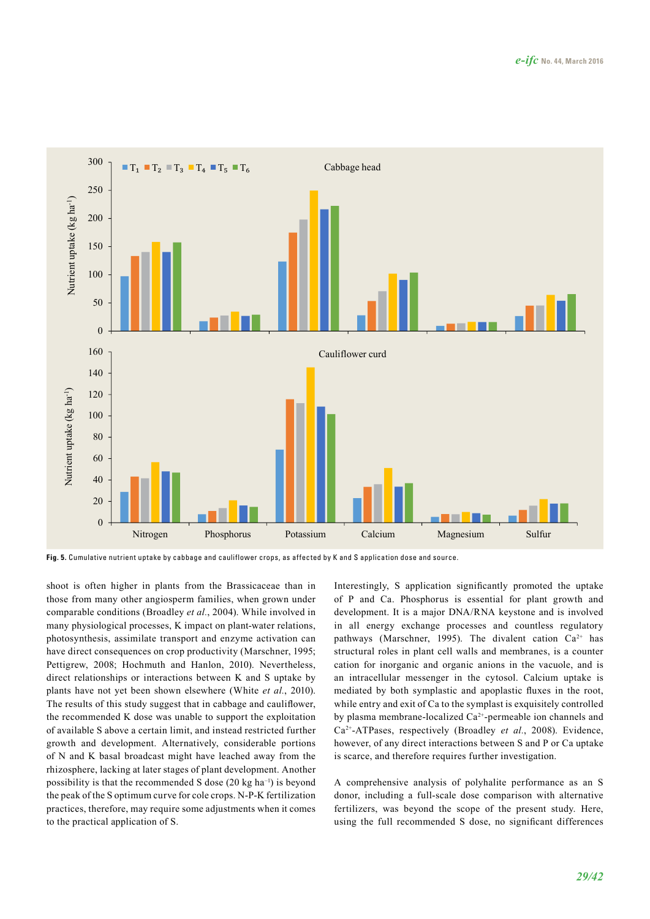

**Fig. 5.** Cumulative nutrient uptake by cabbage and cauliflower crops, as affected by K and S application dose and source.

shoot is often higher in plants from the Brassicaceae than in those from many other angiosperm families, when grown under comparable conditions (Broadley *et al.*, 2004). While involved in many physiological processes, K impact on plant-water relations, photosynthesis, assimilate transport and enzyme activation can have direct consequences on crop productivity (Marschner, 1995; Pettigrew, 2008; Hochmuth and Hanlon, 2010). Nevertheless, direct relationships or interactions between K and S uptake by plants have not yet been shown elsewhere (White *et al.*, 2010). The results of this study suggest that in cabbage and cauliflower, the recommended K dose was unable to support the exploitation of available S above a certain limit, and instead restricted further growth and development. Alternatively, considerable portions of N and K basal broadcast might have leached away from the rhizosphere, lacking at later stages of plant development. Another possibility is that the recommended S dose  $(20 \text{ kg ha}^{-1})$  is beyond the peak of the S optimum curve for cole crops. N-P-K fertilization practices, therefore, may require some adjustments when it comes to the practical application of S.

Interestingly, S application significantly promoted the uptake of P and Ca. Phosphorus is essential for plant growth and development. It is a major DNA/RNA keystone and is involved in all energy exchange processes and countless regulatory pathways (Marschner, 1995). The divalent cation  $Ca^{2+}$  has structural roles in plant cell walls and membranes, is a counter cation for inorganic and organic anions in the vacuole, and is an intracellular messenger in the cytosol. Calcium uptake is mediated by both symplastic and apoplastic fluxes in the root, while entry and exit of Ca to the symplast is exquisitely controlled by plasma membrane-localized Ca<sup>2+</sup>-permeable ion channels and Ca2+-ATPases, respectively (Broadley *et al.*, 2008). Evidence, however, of any direct interactions between S and P or Ca uptake is scarce, and therefore requires further investigation.

A comprehensive analysis of polyhalite performance as an S donor, including a full-scale dose comparison with alternative fertilizers, was beyond the scope of the present study. Here, using the full recommended S dose, no significant differences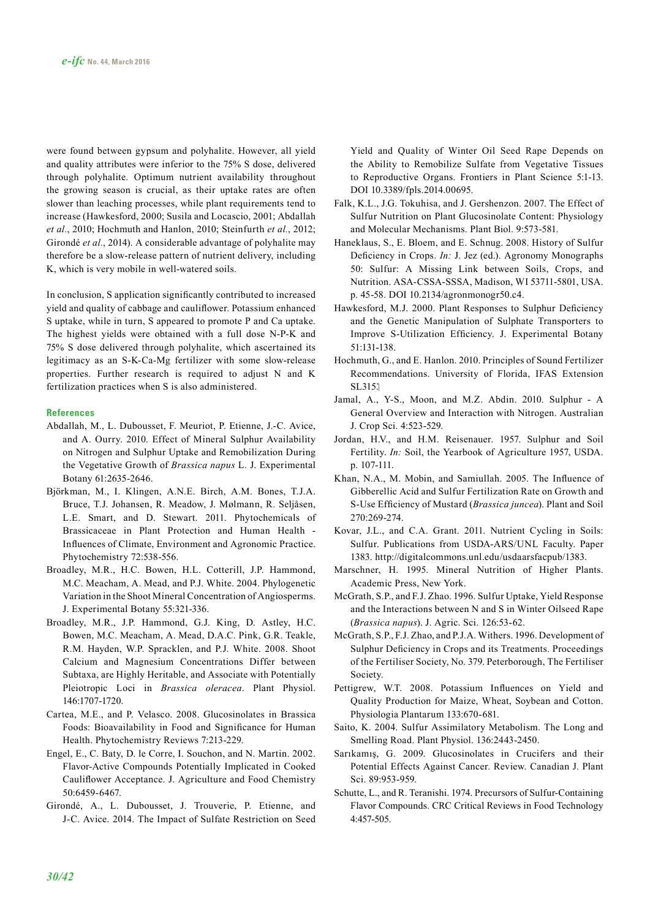were found between gypsum and polyhalite. However, all yield and quality attributes were inferior to the 75% S dose, delivered through polyhalite. Optimum nutrient availability throughout the growing season is crucial, as their uptake rates are often slower than leaching processes, while plant requirements tend to increase (Hawkesford, 2000; Susila and Locascio, 2001; Abdallah *et al.*, 2010; Hochmuth and Hanlon, 2010; Steinfurth *et al.*, 2012; Girondé *et al.*, 2014). A considerable advantage of polyhalite may therefore be a slow-release pattern of nutrient delivery, including K, which is very mobile in well-watered soils.

In conclusion, S application significantly contributed to increased yield and quality of cabbage and cauliflower. Potassium enhanced S uptake, while in turn, S appeared to promote P and Ca uptake. The highest yields were obtained with a full dose N-P-K and 75% S dose delivered through polyhalite, which ascertained its legitimacy as an S-K-Ca-Mg fertilizer with some slow-release properties. Further research is required to adjust N and K fertilization practices when S is also administered.

#### **References**

- Abdallah, M., L. Dubousset, F. Meuriot, P. Etienne, J.-C. Avice, and A. Ourry. 2010. Effect of Mineral Sulphur Availability on Nitrogen and Sulphur Uptake and Remobilization During the Vegetative Growth of *Brassica napus* L. J. Experimental Botany 61:2635-2646.
- Björkman, M., I. Klingen, A.N.E. Birch, A.M. Bones, T.J.A. Bruce, T.J. Johansen, R. Meadow, J. Mølmann, R. Seljåsen, L.E. Smart, and D. Stewart. 2011. Phytochemicals of Brassicaceae in Plant Protection and Human Health - Influences of Climate, Environment and Agronomic Practice. Phytochemistry 72:538-556.
- Broadley, M.R., H.C. Bowen, H.L. Cotterill, J.P. Hammond, M.C. Meacham, A. Mead, and P.J. White. 2004. Phylogenetic Variation in the Shoot Mineral Concentration of Angiosperms. J. Experimental Botany 55:321-336.
- Broadley, M.R., J.P. Hammond, G.J. King, D. Astley, H.C. Bowen, M.C. Meacham, A. Mead, D.A.C. Pink, G.R. Teakle, R.M. Hayden, W.P. Spracklen, and P.J. White. 2008. Shoot Calcium and Magnesium Concentrations Differ between Subtaxa, are Highly Heritable, and Associate with Potentially Pleiotropic Loci in *Brassica oleracea*. Plant Physiol. 146:1707-1720.
- Cartea, M.E., and P. Velasco. 2008. Glucosinolates in Brassica Foods: Bioavailability in Food and Significance for Human Health. Phytochemistry Reviews 7:213-229.
- Engel, E., C. Baty, D. le Corre, I. Souchon, and N. Martin. 2002. Flavor-Active Compounds Potentially Implicated in Cooked Cauliflower Acceptance. J. Agriculture and Food Chemistry 50:6459-6467.
- Girondé, A., L. Dubousset, J. Trouverie, P. Etienne, and J-C. Avice. 2014. The Impact of Sulfate Restriction on Seed

Yield and Quality of Winter Oil Seed Rape Depends on the Ability to Remobilize Sulfate from Vegetative Tissues to Reproductive Organs. Frontiers in Plant Science 5:1-13. DOI 10.3389/fpls.2014.00695.

- Falk, K.L., J.G. Tokuhisa, and J. Gershenzon. 2007. The Effect of Sulfur Nutrition on Plant Glucosinolate Content: Physiology and Molecular Mechanisms. Plant Biol. 9:573-581.
- Haneklaus, S., E. Bloem, and E. Schnug. 2008. History of Sulfur Deficiency in Crops. *In:* J. Jez (ed.). Agronomy Monographs 50: Sulfur: A Missing Link between Soils, Crops, and Nutrition. ASA-CSSA-SSSA, Madison, WI 53711-5801, USA. p. 45-58. DOI 10.2134/agronmonogr50.c4.
- Hawkesford, M.J. 2000. Plant Responses to Sulphur Deficiency and the Genetic Manipulation of Sulphate Transporters to Improve S-Utilization Efficiency. J. Experimental Botany 51:131-138.
- Hochmuth, G., and E. Hanlon. 2010. Principles of Sound Fertilizer Recommendations. University of Florida, IFAS Extension SL315.1
- Jamal, A., Y-S., Moon, and M.Z. Abdin. 2010. Sulphur A General Overview and Interaction with Nitrogen. Australian J. Crop Sci. 4:523-529.
- Jordan, H.V., and H.M. Reisenauer. 1957. Sulphur and Soil Fertility. *In:* Soil, the Yearbook of Agriculture 1957, USDA. p. 107-111.
- Khan, N.A., M. Mobin, and Samiullah. 2005. The Influence of Gibberellic Acid and Sulfur Fertilization Rate on Growth and S-Use Efficiency of Mustard (*Brassica juncea*). Plant and Soil 270:269-274.
- Kovar, J.L., and C.A. Grant. 2011. Nutrient Cycling in Soils: Sulfur. Publications from USDA-ARS/UNL Faculty. Paper 1383. <http://digitalcommons.unl.edu/usdaarsfacpub/1383>.
- Marschner, H. 1995. Mineral Nutrition of Higher Plants. Academic Press, New York.
- McGrath, S.P., and F.J. Zhao. 1996. Sulfur Uptake, Yield Response and the Interactions between N and S in Winter Oilseed Rape (*Brassica napus*). J. Agric. Sci. 126:53-62.
- McGrath, S.P., F.J. Zhao, and P.J.A. Withers. 1996. Development of Sulphur Deficiency in Crops and its Treatments. Proceedings of the Fertiliser Society, No. 379. Peterborough, The Fertiliser Society.
- Pettigrew, W.T. 2008. Potassium Influences on Yield and Quality Production for Maize, Wheat, Soybean and Cotton. Physiologia Plantarum 133:670-681.
- Saito, K. 2004. Sulfur Assimilatory Metabolism. The Long and Smelling Road. Plant Physiol. 136:2443-2450.
- Sarıkamış, G. 2009. Glucosinolates in Crucifers and their Potential Effects Against Cancer. Review. Canadian J. Plant Sci. 89:953-959.
- Schutte, L., and R. Teranishi. 1974. Precursors of Sulfur-Containing Flavor Compounds. CRC Critical Reviews in Food Technology 4:457-505.